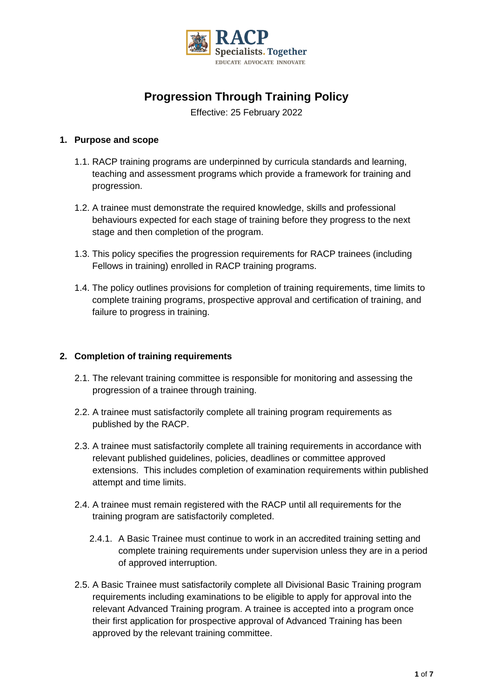

# **Progression Through Training Policy**

Effective: 25 February 2022

## **1. Purpose and scope**

- 1.1. RACP training programs are underpinned by curricula standards and learning, teaching and assessment programs which provide a framework for training and progression.
- 1.2. A trainee must demonstrate the required knowledge, skills and professional behaviours expected for each stage of training before they progress to the next stage and then completion of the program.
- 1.3. This policy specifies the progression requirements for RACP trainees (including Fellows in training) enrolled in RACP training programs.
- 1.4. The policy outlines provisions for completion of training requirements, time limits to complete training programs, prospective approval and certification of training, and failure to progress in training.

#### **2. Completion of training requirements**

- 2.1. The relevant training committee is responsible for monitoring and assessing the progression of a trainee through training.
- 2.2. A trainee must satisfactorily complete all training program requirements as published by the RACP.
- 2.3. A trainee must satisfactorily complete all training requirements in accordance with relevant published guidelines, policies, deadlines or committee approved extensions. This includes completion of examination requirements within published attempt and time limits.
- 2.4. A trainee must remain registered with the RACP until all requirements for the training program are satisfactorily completed.
	- 2.4.1. A Basic Trainee must continue to work in an accredited training setting and complete training requirements under supervision unless they are in a period of approved interruption.
- 2.5. A Basic Trainee must satisfactorily complete all Divisional Basic Training program requirements including examinations to be eligible to apply for approval into the relevant Advanced Training program. A trainee is accepted into a program once their first application for prospective approval of Advanced Training has been approved by the relevant training committee.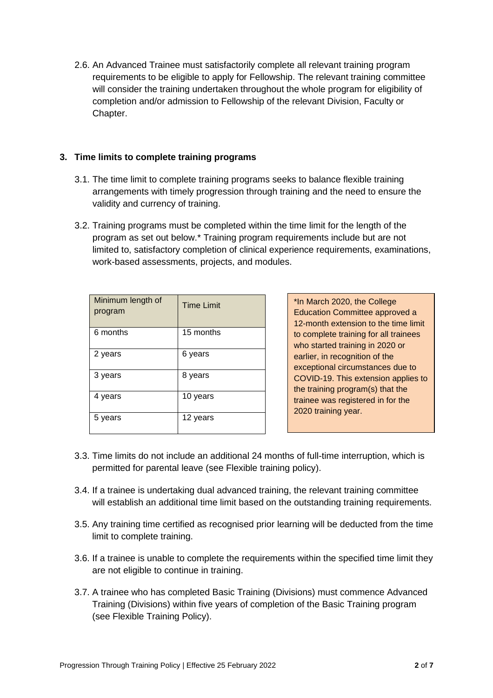2.6. An Advanced Trainee must satisfactorily complete all relevant training program requirements to be eligible to apply for Fellowship. The relevant training committee will consider the training undertaken throughout the whole program for eligibility of completion and/or admission to Fellowship of the relevant Division, Faculty or Chapter.

## **3. Time limits to complete training programs**

- 3.1. The time limit to complete training programs seeks to balance flexible training arrangements with timely progression through training and the need to ensure the validity and currency of training.
- 3.2. Training programs must be completed within the time limit for the length of the program as set out below.\* Training program requirements include but are not limited to, satisfactory completion of clinical experience requirements, examinations, work-based assessments, projects, and modules.

| Minimum length of<br>program | <b>Time Limit</b> |
|------------------------------|-------------------|
| 6 months                     | 15 months         |
| 2 years                      | 6 years           |
| 3 years                      | 8 years           |
| 4 years                      | 10 years          |
| 5 years                      | 12 years          |

\*In March 2020, the College Education Committee approved a 12-month extension to the time limit to complete training for all trainees who started training in 2020 or earlier, in recognition of the exceptional circumstances due to COVID-19. This extension applies to the training program(s) that the trainee was registered in for the 2020 training year.

- 3.3. Time limits do not include an additional 24 months of full-time interruption, which is permitted for parental leave (see Flexible training policy).
- 3.4. If a trainee is undertaking dual advanced training, the relevant training committee will establish an additional time limit based on the outstanding training requirements.
- 3.5. Any training time certified as recognised prior learning will be deducted from the time limit to complete training.
- 3.6. If a trainee is unable to complete the requirements within the specified time limit they are not eligible to continue in training.
- 3.7. A trainee who has completed Basic Training (Divisions) must commence Advanced Training (Divisions) within five years of completion of the Basic Training program (see Flexible Training Policy).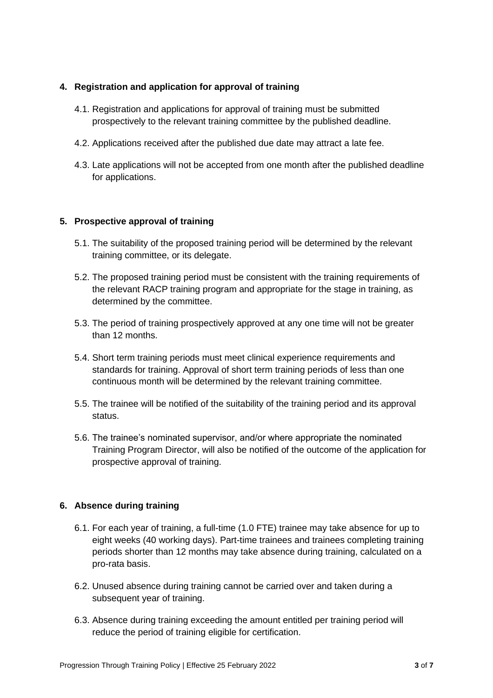## **4. Registration and application for approval of training**

- 4.1. Registration and applications for approval of training must be submitted prospectively to the relevant training committee by the published deadline.
- 4.2. Applications received after the published due date may attract a late fee.
- 4.3. Late applications will not be accepted from one month after the published deadline for applications.

# **5. Prospective approval of training**

- 5.1. The suitability of the proposed training period will be determined by the relevant training committee, or its delegate.
- 5.2. The proposed training period must be consistent with the training requirements of the relevant RACP training program and appropriate for the stage in training, as determined by the committee.
- 5.3. The period of training prospectively approved at any one time will not be greater than 12 months.
- 5.4. Short term training periods must meet clinical experience requirements and standards for training. Approval of short term training periods of less than one continuous month will be determined by the relevant training committee.
- 5.5. The trainee will be notified of the suitability of the training period and its approval status.
- 5.6. The trainee's nominated supervisor, and/or where appropriate the nominated Training Program Director, will also be notified of the outcome of the application for prospective approval of training.

#### **6. Absence during training**

- 6.1. For each year of training, a full-time (1.0 FTE) trainee may take absence for up to eight weeks (40 working days). Part-time trainees and trainees completing training periods shorter than 12 months may take absence during training, calculated on a pro-rata basis.
- 6.2. Unused absence during training cannot be carried over and taken during a subsequent year of training.
- 6.3. Absence during training exceeding the amount entitled per training period will reduce the period of training eligible for certification.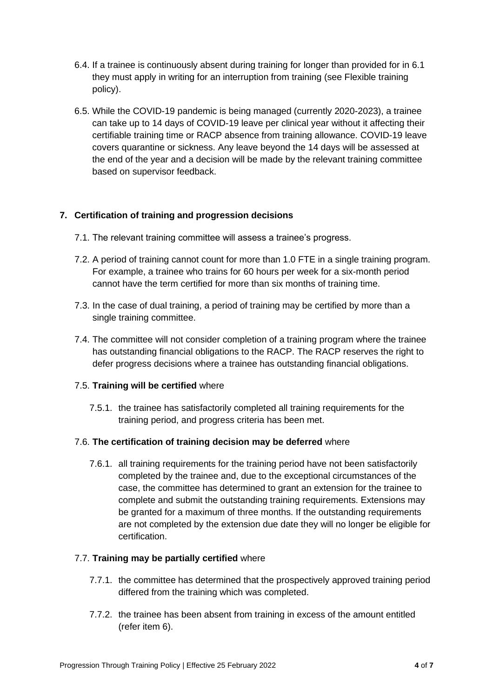- 6.4. If a trainee is continuously absent during training for longer than provided for in 6.1 they must apply in writing for an interruption from training (see Flexible training policy).
- 6.5. While the COVID-19 pandemic is being managed (currently 2020-2023), a trainee can take up to 14 days of COVID-19 leave per clinical year without it affecting their certifiable training time or RACP absence from training allowance. COVID-19 leave covers quarantine or sickness. Any leave beyond the 14 days will be assessed at the end of the year and a decision will be made by the relevant training committee based on supervisor feedback.

# **7. Certification of training and progression decisions**

- 7.1. The relevant training committee will assess a trainee's progress.
- 7.2. A period of training cannot count for more than 1.0 FTE in a single training program. For example, a trainee who trains for 60 hours per week for a six-month period cannot have the term certified for more than six months of training time.
- 7.3. In the case of dual training, a period of training may be certified by more than a single training committee.
- 7.4. The committee will not consider completion of a training program where the trainee has outstanding financial obligations to the RACP. The RACP reserves the right to defer progress decisions where a trainee has outstanding financial obligations.

# 7.5. **Training will be certified** where

7.5.1. the trainee has satisfactorily completed all training requirements for the training period, and progress criteria has been met.

# 7.6. **The certification of training decision may be deferred** where

7.6.1. all training requirements for the training period have not been satisfactorily completed by the trainee and, due to the exceptional circumstances of the case, the committee has determined to grant an extension for the trainee to complete and submit the outstanding training requirements. Extensions may be granted for a maximum of three months. If the outstanding requirements are not completed by the extension due date they will no longer be eligible for certification.

#### 7.7. **Training may be partially certified** where

- 7.7.1. the committee has determined that the prospectively approved training period differed from the training which was completed.
- 7.7.2. the trainee has been absent from training in excess of the amount entitled (refer item 6).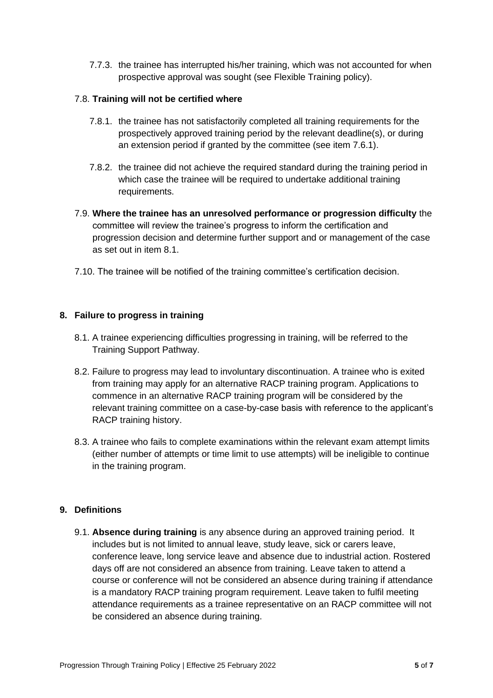7.7.3. the trainee has interrupted his/her training, which was not accounted for when prospective approval was sought (see Flexible Training policy).

#### 7.8. **Training will not be certified where**

- 7.8.1. the trainee has not satisfactorily completed all training requirements for the prospectively approved training period by the relevant deadline(s), or during an extension period if granted by the committee (see item 7.6.1).
- 7.8.2. the trainee did not achieve the required standard during the training period in which case the trainee will be required to undertake additional training requirements.
- 7.9. **Where the trainee has an unresolved performance or progression difficulty** the committee will review the trainee's progress to inform the certification and progression decision and determine further support and or management of the case as set out in item 8.1.
- 7.10. The trainee will be notified of the training committee's certification decision.

## **8. Failure to progress in training**

- 8.1. A trainee experiencing difficulties progressing in training, will be referred to the Training Support Pathway.
- 8.2. Failure to progress may lead to involuntary discontinuation. A trainee who is exited from training may apply for an alternative RACP training program. Applications to commence in an alternative RACP training program will be considered by the relevant training committee on a case-by-case basis with reference to the applicant's RACP training history.
- 8.3. A trainee who fails to complete examinations within the relevant exam attempt limits (either number of attempts or time limit to use attempts) will be ineligible to continue in the training program.

#### **9. Definitions**

9.1. **Absence during training** is any absence during an approved training period. It includes but is not limited to annual leave, study leave, sick or carers leave, conference leave, long service leave and absence due to industrial action. Rostered days off are not considered an absence from training. Leave taken to attend a course or conference will not be considered an absence during training if attendance is a mandatory RACP training program requirement. Leave taken to fulfil meeting attendance requirements as a trainee representative on an RACP committee will not be considered an absence during training.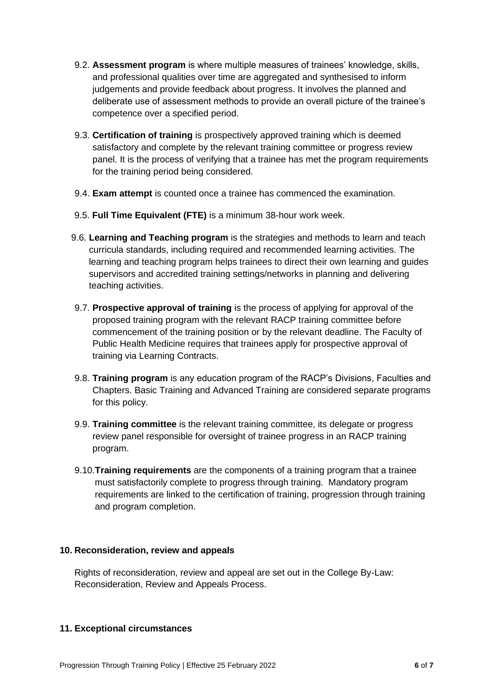- 9.2. **Assessment program** is where multiple measures of trainees' knowledge, skills, and professional qualities over time are aggregated and synthesised to inform judgements and provide feedback about progress. It involves the planned and deliberate use of assessment methods to provide an overall picture of the trainee's competence over a specified period.
- 9.3. **Certification of training** is prospectively approved training which is deemed satisfactory and complete by the relevant training committee or progress review panel. It is the process of verifying that a trainee has met the program requirements for the training period being considered.
- 9.4. **Exam attempt** is counted once a trainee has commenced the examination.
- 9.5. **Full Time Equivalent (FTE)** is a minimum 38-hour work week.
- 9.6. **Learning and Teaching program** is the strategies and methods to learn and teach curricula standards, including required and recommended learning activities. The learning and teaching program helps trainees to direct their own learning and guides supervisors and accredited training settings/networks in planning and delivering teaching activities.
- 9.7. **Prospective approval of training** is the process of applying for approval of the proposed training program with the relevant RACP training committee before commencement of the training position or by the relevant deadline. The Faculty of Public Health Medicine requires that trainees apply for prospective approval of training via Learning Contracts.
- 9.8. **Training program** is any education program of the RACP's Divisions, Faculties and Chapters. Basic Training and Advanced Training are considered separate programs for this policy.
- 9.9. **Training committee** is the relevant training committee, its delegate or progress review panel responsible for oversight of trainee progress in an RACP training program.
- 9.10.**Training requirements** are the components of a training program that a trainee must satisfactorily complete to progress through training. Mandatory program requirements are linked to the certification of training, progression through training and program completion.

#### **10. Reconsideration, review and appeals**

Rights of reconsideration, review and appeal are set out in the College By-Law: Reconsideration, Review and Appeals Process.

#### **11. Exceptional circumstances**